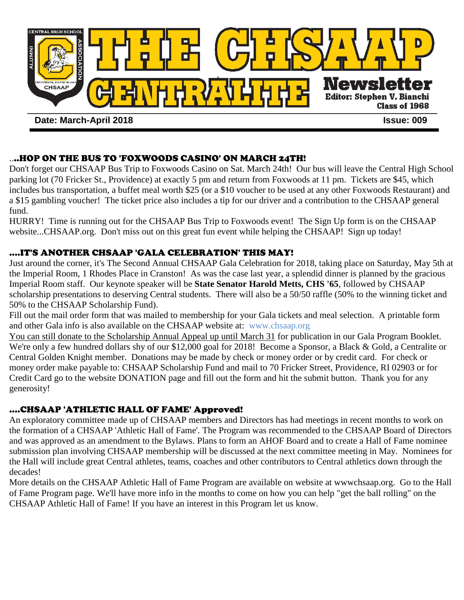

# ....HOP ON THE BUS TO 'FOXWOODS CASINO' ON MARCH 24TH!

Don't forget our CHSAAP Bus Trip to Foxwoods Casino on Sat. March 24th! Our bus will leave the Central High School parking lot (70 Fricker St., Providence) at exactly 5 pm and return from Foxwoods at 11 pm. Tickets are \$45, which includes bus transportation, a buffet meal worth \$25 (or a \$10 voucher to be used at any other Foxwoods Restaurant) and a \$15 gambling voucher! The ticket price also includes a tip for our driver and a contribution to the CHSAAP general fund.

HURRY! Time is running out for the CHSAAP Bus Trip to Foxwoods event! The Sign Up form is on the CHSAAP website...CHSAAP.org. Don't miss out on this great fun event while helping the CHSAAP! Sign up today!

# ....IT'S ANOTHER CHSAAP 'GALA CELEBRATION' THIS MAY!

Just around the corner, it's The Second Annual CHSAAP Gala Celebration for 2018, taking place on Saturday, May 5th at the Imperial Room, 1 Rhodes Place in Cranston! As was the case last year, a splendid dinner is planned by the gracious Imperial Room staff. Our keynote speaker will be **State Senator Harold Metts, CHS '65**, followed by CHSAAP scholarship presentations to deserving Central students. There will also be a 50/50 raffle (50% to the winning ticket and 50% to the CHSAAP Scholarship Fund).

Fill out the mail order form that was mailed to membership for your Gala tickets and meal selection. A printable form and other Gala info is also available on the CHSAAP website at: www.chsaap.org

You can still donate to the Scholarship Annual Appeal up until March 31 for publication in our Gala Program Booklet. We're only a few hundred dollars shy of our \$12,000 goal for 2018! Become a Sponsor, a Black & Gold, a Centralite or Central Golden Knight member. Donations may be made by check or money order or by credit card. For check or money order make payable to: CHSAAP Scholarship Fund and mail to 70 Fricker Street, Providence, RI 02903 or for Credit Card go to the website DONATION page and fill out the form and hit the submit button. Thank you for any generosity!

### ....CHSAAP 'ATHLETIC HALL OF FAME' Approved!

An exploratory committee made up of CHSAAP members and Directors has had meetings in recent months to work on the formation of a CHSAAP 'Athletic Hall of Fame'. The Program was recommended to the CHSAAP Board of Directors and was approved as an amendment to the Bylaws. Plans to form an AHOF Board and to create a Hall of Fame nominee submission plan involving CHSAAP membership will be discussed at the next committee meeting in May. Nominees for the Hall will include great Central athletes, teams, coaches and other contributors to Central athletics down through the decades!

More details on the CHSAAP Athletic Hall of Fame Program are available on website at wwwchsaap.org. Go to the Hall of Fame Program page. We'll have more info in the months to come on how you can help "get the ball rolling" on the CHSAAP Athletic Hall of Fame! If you have an interest in this Program let us know.